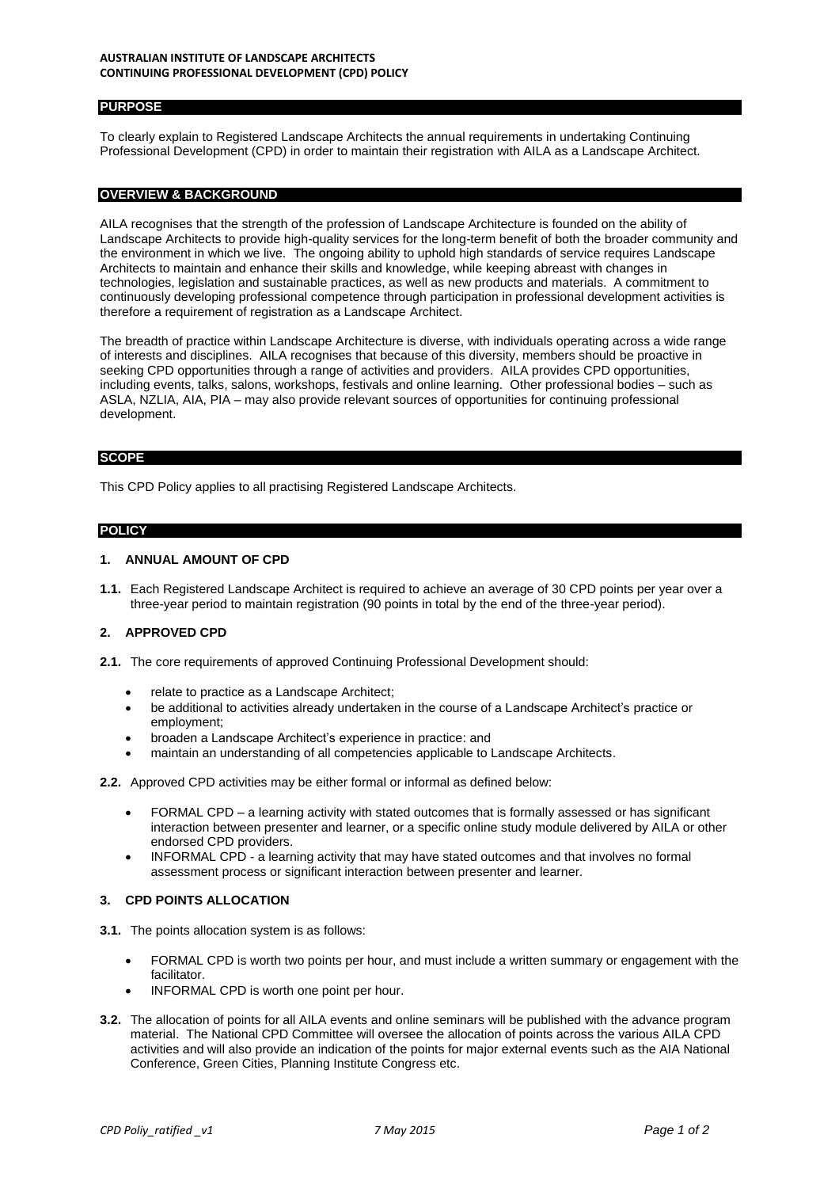### **AUSTRALIAN INSTITUTE OF LANDSCAPE ARCHITECTS CONTINUING PROFESSIONAL DEVELOPMENT (CPD) POLICY**

# **PURPOSE**

To clearly explain to Registered Landscape Architects the annual requirements in undertaking Continuing Professional Development (CPD) in order to maintain their registration with AILA as a Landscape Architect.

## **OVERVIEW & BACKGROUND**

AILA recognises that the strength of the profession of Landscape Architecture is founded on the ability of Landscape Architects to provide high-quality services for the long-term benefit of both the broader community and the environment in which we live. The ongoing ability to uphold high standards of service requires Landscape Architects to maintain and enhance their skills and knowledge, while keeping abreast with changes in technologies, legislation and sustainable practices, as well as new products and materials. A commitment to continuously developing professional competence through participation in professional development activities is therefore a requirement of registration as a Landscape Architect.

The breadth of practice within Landscape Architecture is diverse, with individuals operating across a wide range of interests and disciplines. AILA recognises that because of this diversity, members should be proactive in seeking CPD opportunities through a range of activities and providers. AILA provides CPD opportunities, including events, talks, salons, workshops, festivals and online learning. Other professional bodies – such as ASLA, NZLIA, AIA, PIA – may also provide relevant sources of opportunities for continuing professional development.

### **SCOPE**

This CPD Policy applies to all practising Registered Landscape Architects.

## **POLICY**

## **1. ANNUAL AMOUNT OF CPD**

**1.1.** Each Registered Landscape Architect is required to achieve an average of 30 CPD points per year over a three-year period to maintain registration (90 points in total by the end of the three-year period).

# **2. APPROVED CPD**

- **2.1.** The core requirements of approved Continuing Professional Development should:
	- relate to practice as a Landscape Architect;
	- be additional to activities already undertaken in the course of a Landscape Architect's practice or employment;
	- broaden a Landscape Architect's experience in practice: and
	- maintain an understanding of all competencies applicable to Landscape Architects.
- **2.2.** Approved CPD activities may be either formal or informal as defined below:
	- FORMAL CPD a learning activity with stated outcomes that is formally assessed or has significant interaction between presenter and learner, or a specific online study module delivered by AILA or other endorsed CPD providers.
	- INFORMAL CPD a learning activity that may have stated outcomes and that involves no formal assessment process or significant interaction between presenter and learner.

## **3. CPD POINTS ALLOCATION**

- **3.1.** The points allocation system is as follows:
	- FORMAL CPD is worth two points per hour, and must include a written summary or engagement with the facilitator.
	- INFORMAL CPD is worth one point per hour.
- **3.2.** The allocation of points for all AILA events and online seminars will be published with the advance program material. The National CPD Committee will oversee the allocation of points across the various AILA CPD activities and will also provide an indication of the points for major external events such as the AIA National Conference, Green Cities, Planning Institute Congress etc.